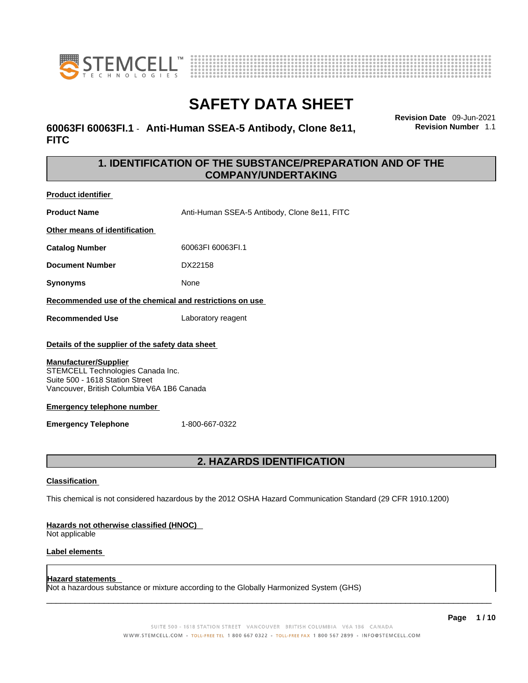



# **60063FI 60063FI.1** - **Anti-Human SSEA-5 Antibody, Clone 8e11, FITC**

**Revision Date** 09-Jun-2021 **Revision Number** 1.1

# **1. IDENTIFICATION OF THE SUBSTANCE/PREPARATION AND OF THE COMPANY/UNDERTAKING**

**Product identifier**

**Product Name** Anti-Human SSEA-5 Antibody, Clone 8e11, FITC

**Other means of identification**

**Catalog Number** 60063FI 60063FI.1

**Document Number** DX22158

**Synonyms** None

**Recommended use of the chemical and restrictions on use**

**Recommended Use** Laboratory reagent

### **Details of the supplier of the safety data sheet**

### **Manufacturer/Supplier**

STEMCELL Technologies Canada Inc. Suite 500 - 1618 Station Street Vancouver, British Columbia V6A 1B6 Canada

### **Emergency telephone number**

**Emergency Telephone** 1-800-667-0322

# **2. HAZARDS IDENTIFICATION**

### **Classification**

This chemical is not considered hazardous by the 2012 OSHA Hazard Communication Standard (29 CFR 1910.1200)

### **Hazards not otherwise classified (HNOC)**

Not applicable

### **Label elements**

### **Hazard statements**

Not a hazardous substance or mixture according to the Globally Harmonized System (GHS)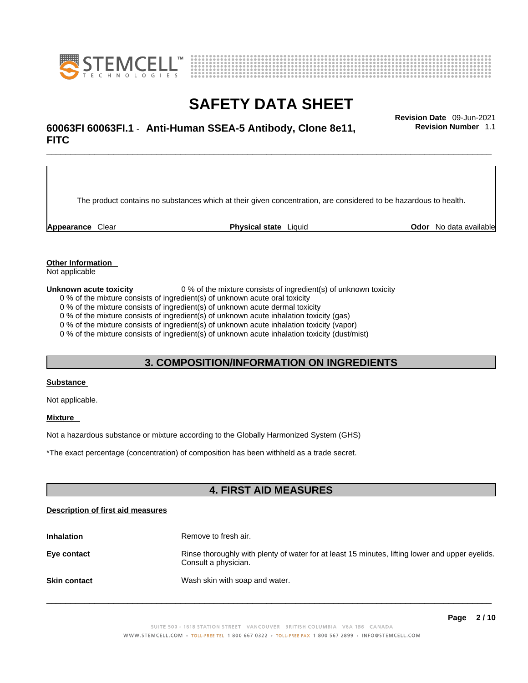



\_\_\_\_\_\_\_\_\_\_\_\_\_\_\_\_\_\_\_\_\_\_\_\_\_\_\_\_\_\_\_\_\_\_\_\_\_\_\_\_\_\_\_\_\_\_\_\_\_\_\_\_\_\_\_\_\_\_\_\_\_\_\_\_\_\_\_\_\_\_\_\_\_\_\_\_\_\_\_\_\_\_\_\_\_\_\_\_\_\_\_\_\_ **Revision Date** 09-Jun-2021 **60063FI 60063FI.1** - **Anti-Human SSEA-5 Antibody, Clone 8e11, FITC** 

The product contains no substances which at their given concentration, are considered to be hazardous to health.

**Appearance** Clear **Physical state** Liquid **Odor** No data available

**Revision Number** 1.1

**Other Information** 

Not applicable

**Unknown acute toxicity** 0 % of the mixture consists of ingredient(s) of unknown toxicity

0 % of the mixture consists of ingredient(s) of unknown acute oral toxicity

0 % of the mixture consists of ingredient(s) of unknown acute dermal toxicity

0 % of the mixture consists of ingredient(s) of unknown acute inhalation toxicity (gas)

0 % of the mixture consists of ingredient(s) of unknown acute inhalation toxicity (vapor)

0 % of the mixture consists of ingredient(s) of unknown acute inhalation toxicity (dust/mist)

## **3. COMPOSITION/INFORMATION ON INGREDIENTS**

#### **Substance**

Not applicable.

### **Mixture**

Not a hazardous substance or mixture according to the Globally Harmonized System (GHS)

\*The exact percentage (concentration) ofcomposition has been withheld as a trade secret.

# **4. FIRST AID MEASURES**

### **Description of first aid measures**

| <b>Inhalation</b>   | Remove to fresh air.                                                                                                    |
|---------------------|-------------------------------------------------------------------------------------------------------------------------|
| Eye contact         | Rinse thoroughly with plenty of water for at least 15 minutes, lifting lower and upper eyelids.<br>Consult a physician. |
| <b>Skin contact</b> | Wash skin with soap and water.                                                                                          |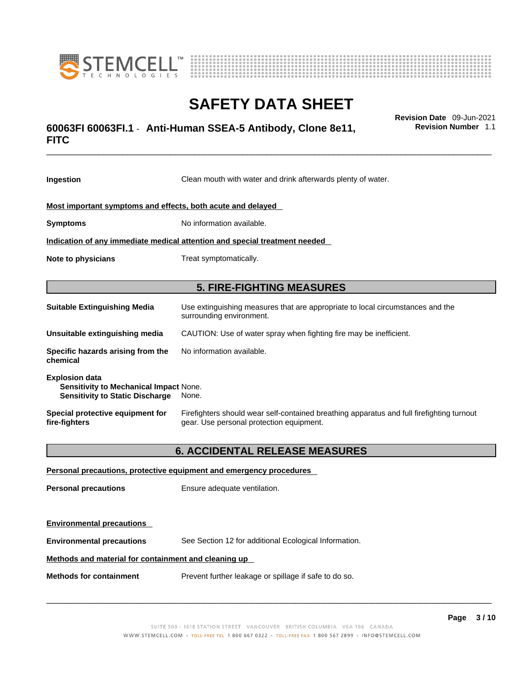



# \_\_\_\_\_\_\_\_\_\_\_\_\_\_\_\_\_\_\_\_\_\_\_\_\_\_\_\_\_\_\_\_\_\_\_\_\_\_\_\_\_\_\_\_\_\_\_\_\_\_\_\_\_\_\_\_\_\_\_\_\_\_\_\_\_\_\_\_\_\_\_\_\_\_\_\_\_\_\_\_\_\_\_\_\_\_\_\_\_\_\_\_\_ **Revision Date** 09-Jun-2021 **60063FI 60063FI.1** - **Anti-Human SSEA-5 Antibody, Clone 8e11, FITC**

**Ingestion** Clean mouth with water and drink afterwards plenty of water. **Most important symptoms and effects, both acute and delayed Symptoms** No information available. **Indication of any immediate medical attention and special treatment needed Note to physicians** Treat symptomatically. **5. FIRE-FIGHTING MEASURES Suitable Extinguishing Media** Use extinguishing measures that are appropriate to local circumstances and the surrounding environment. **Unsuitable extinguishing media** CAUTION: Use of water spray when fighting fire may be inefficient. **Specific hazards arising from the chemical** No information available. **Explosion data Sensitivity to Mechanical Impact** None. **Sensitivity to Static Discharge** None. **Special protective equipment for fire-fighters** Firefighters should wear self-contained breathing apparatus and full firefighting turnout gear. Use personal protection equipment.

# **6. ACCIDENTAL RELEASE MEASURES**

| Personal precautions, protective equipment and emergency procedures |                                                       |  |
|---------------------------------------------------------------------|-------------------------------------------------------|--|
| <b>Personal precautions</b>                                         | Ensure adequate ventilation.                          |  |
| <b>Environmental precautions</b>                                    |                                                       |  |
| <b>Environmental precautions</b>                                    | See Section 12 for additional Ecological Information. |  |
| Methods and material for containment and cleaning up                |                                                       |  |
| <b>Methods for containment</b>                                      | Prevent further leakage or spillage if safe to do so. |  |

 $\_$  ,  $\_$  ,  $\_$  ,  $\_$  ,  $\_$  ,  $\_$  ,  $\_$  ,  $\_$  ,  $\_$  ,  $\_$  ,  $\_$  ,  $\_$  ,  $\_$  ,  $\_$  ,  $\_$  ,  $\_$  ,  $\_$  ,  $\_$  ,  $\_$  ,  $\_$  ,  $\_$  ,  $\_$  ,  $\_$  ,  $\_$  ,  $\_$  ,  $\_$  ,  $\_$  ,  $\_$  ,  $\_$  ,  $\_$  ,  $\_$  ,  $\_$  ,  $\_$  ,  $\_$  ,  $\_$  ,  $\_$  ,  $\_$  ,

**Revision Number** 1.1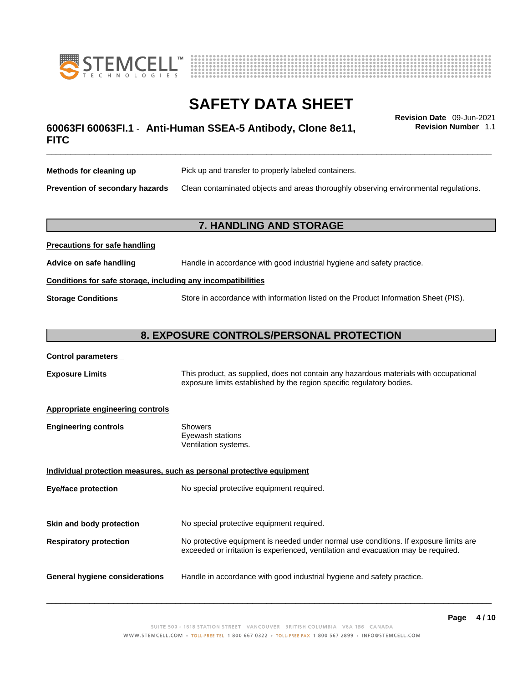



# \_\_\_\_\_\_\_\_\_\_\_\_\_\_\_\_\_\_\_\_\_\_\_\_\_\_\_\_\_\_\_\_\_\_\_\_\_\_\_\_\_\_\_\_\_\_\_\_\_\_\_\_\_\_\_\_\_\_\_\_\_\_\_\_\_\_\_\_\_\_\_\_\_\_\_\_\_\_\_\_\_\_\_\_\_\_\_\_\_\_\_\_\_ **Revision Date** 09-Jun-2021 **60063FI 60063FI.1** - **Anti-Human SSEA-5 Antibody, Clone 8e11, FITC**

**Revision Number** 1.1

| Methods for cleaning up                | Pick up and transfer to properly labeled containers.                                 |
|----------------------------------------|--------------------------------------------------------------------------------------|
| <b>Prevention of secondary hazards</b> | Clean contaminated objects and areas thoroughly observing environmental regulations. |

# **7. HANDLING AND STORAGE**

| <b>FIGURIOUS IOI SAIG HAHUIHIY</b>                           |                                                                                     |  |
|--------------------------------------------------------------|-------------------------------------------------------------------------------------|--|
| Advice on safe handling                                      | Handle in accordance with good industrial hygiene and safety practice.              |  |
| Conditions for safe storage, including any incompatibilities |                                                                                     |  |
| <b>Storage Conditions</b>                                    | Store in accordance with information listed on the Product Information Sheet (PIS). |  |

# **8. EXPOSURE CONTROLS/PERSONAL PROTECTION**

### **Control parameters**

**Precautions for safe handling**

**Exposure Limits** This product, as supplied, does not contain any hazardous materials with occupational exposure limits established by the region specific regulatory bodies.

### **Appropriate engineering controls**

| Showers              |  |
|----------------------|--|
| Eyewash stations     |  |
| Ventilation systems. |  |
|                      |  |

**Individual protection measures, such as personal protective equipment Eye/face protection** No special protective equipment required. **Skin and body protection** No special protective equipment required. **Respiratory protection** No protective equipment is needed under normal use conditions. If exposure limits are exceeded or irritation is experienced, ventilation and evacuation may be required. **General hygiene considerations** Handle in accordance with good industrial hygiene and safety practice.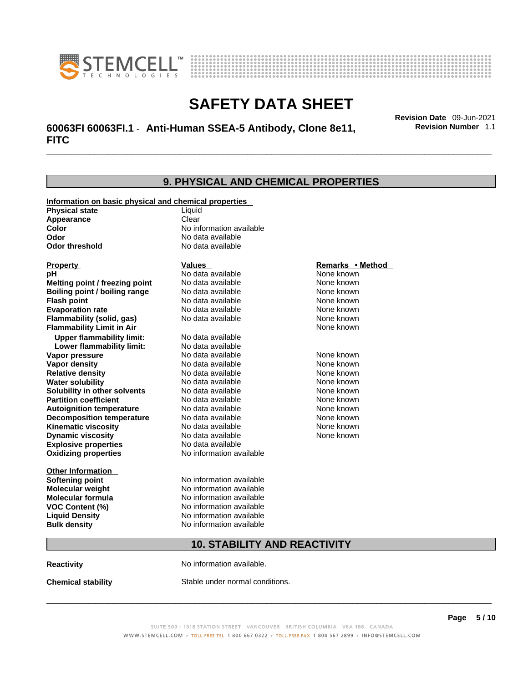



# \_\_\_\_\_\_\_\_\_\_\_\_\_\_\_\_\_\_\_\_\_\_\_\_\_\_\_\_\_\_\_\_\_\_\_\_\_\_\_\_\_\_\_\_\_\_\_\_\_\_\_\_\_\_\_\_\_\_\_\_\_\_\_\_\_\_\_\_\_\_\_\_\_\_\_\_\_\_\_\_\_\_\_\_\_\_\_\_\_\_\_\_\_ **Revision Date** 09-Jun-2021 **60063FI 60063FI.1** - **Anti-Human SSEA-5 Antibody, Clone 8e11, FITC**

**Revision Number** 1.1

### **9. PHYSICAL AND CHEMICAL PROPERTIES Information on basic physical and chemical properties Physical state** Liquid **Appearance** Clear<br> **Color** No int **Color Color Color Color Color Color Color No** data available **Odor Odor No data available**<br> **Odor threshold No data available No data available Explosive properties** No data available **Oxidizing properties** No information available **Other Information Softening point** No information available **Molecular weight** No information available **Molecular formula** No information available<br>**VOC Content (%)** No information available **VOC Content (%) Liquid Density** No information available **Bulk density No information available 10. STABILITY AND REACTIVITY Reactivity No information available. Property CONSCRUTE IN THE VALUES REMARKS • Method pH** No data available None known **Melting point / freezing point Boiling point / boiling range Modata available None known Flash point Communist Communist Communist Communist Communist Communist Communist Communist Communist Communist Communist Communist Communist Communist Communist Communist Communist Communist Communist Communist Communi Evaporation rate Configure 1 Accord None Configure 1 Accord None known**<br> **Elammability (solid. gas)** No data available **None known** None known **Flammability (solid, gas)** No data available None known **Flammability Limit in Air None known None known Upper flammability limit:** No data available **Lower flammability limit:** No data available **Vapor pressure No data available None known Vapor density Notata available None known Relative density No data available None known Water solubility No data available Mone known**<br> **Solubility in other solvents** No data available None known None known **Solubility in other solvents** No data available **None known**<br> **Partition coefficient** No data available **None known**<br>
None known **Partition coefficient**<br>**Autoignition temperature** No data available **Autoignition temperature No data available None known**<br> **Decomposition temperature** No data available **None known**<br>
None known **Decomposition temperature** No data available None known<br> **Kinematic viscosity** No data available None known **Kinematic viscosity** No data available<br> **Dynamic viscosity** No data available **Dynamic viscosity** None known

**Chemical stability** Stable under normal conditions.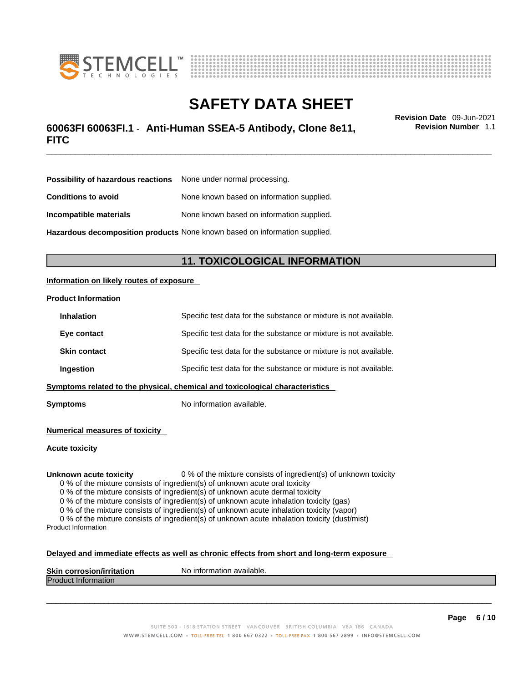



# \_\_\_\_\_\_\_\_\_\_\_\_\_\_\_\_\_\_\_\_\_\_\_\_\_\_\_\_\_\_\_\_\_\_\_\_\_\_\_\_\_\_\_\_\_\_\_\_\_\_\_\_\_\_\_\_\_\_\_\_\_\_\_\_\_\_\_\_\_\_\_\_\_\_\_\_\_\_\_\_\_\_\_\_\_\_\_\_\_\_\_\_\_ **Revision Date** 09-Jun-2021 **60063FI 60063FI.1** - **Anti-Human SSEA-5 Antibody, Clone 8e11, FITC**

**Revision Number** 1.1

| <b>Possibility of hazardous reactions</b> None under normal processing.    |                                           |
|----------------------------------------------------------------------------|-------------------------------------------|
| <b>Conditions to avoid</b>                                                 | None known based on information supplied. |
| Incompatible materials                                                     | None known based on information supplied. |
| Hazardous decomposition products None known based on information supplied. |                                           |

# **11. TOXICOLOGICAL INFORMATION**

### **Information on likely routes of exposure**

### **Product Information**

| <b>Inhalation</b>                                                            | Specific test data for the substance or mixture is not available. |  |
|------------------------------------------------------------------------------|-------------------------------------------------------------------|--|
| Eye contact                                                                  | Specific test data for the substance or mixture is not available. |  |
| <b>Skin contact</b>                                                          | Specific test data for the substance or mixture is not available. |  |
| Ingestion                                                                    | Specific test data for the substance or mixture is not available. |  |
| Symptoms related to the physical, chemical and toxicological characteristics |                                                                   |  |

**Symptoms** No information available.

**Numerical measures of toxicity**

**Acute toxicity**

**Unknown acute toxicity** 0 % of the mixture consists of ingredient(s) of unknown toxicity

0 % of the mixture consists of ingredient(s) of unknown acute oral toxicity

0 % of the mixture consists of ingredient(s) of unknown acute dermal toxicity

0 % of the mixture consists of ingredient(s) of unknown acute inhalation toxicity (gas)

0 % of the mixture consists of ingredient(s) of unknown acute inhalation toxicity (vapor)

0 % of the mixture consists of ingredient(s) of unknown acute inhalation toxicity (dust/mist) Product Information

### **Delayed and immediate effects as well as chronic effects from short and long-term exposure**

| <b>Skin corrosior</b><br>ion/irritation | `available.<br>No inforn<br>nation |
|-----------------------------------------|------------------------------------|
| Produc<br><b>Information</b>            |                                    |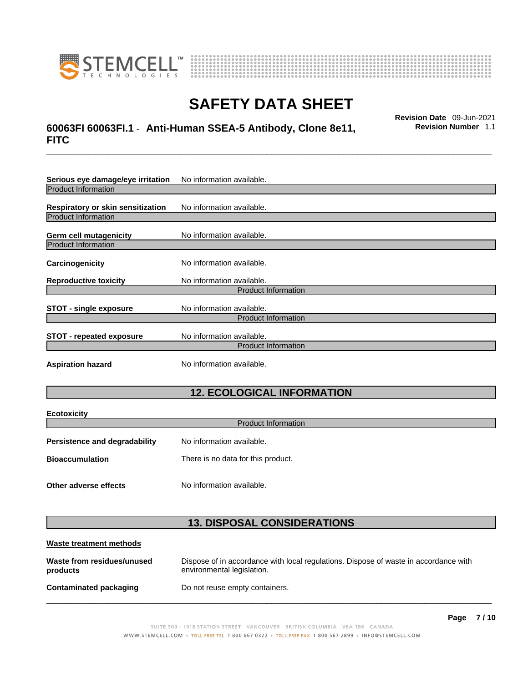

**Ecotoxicity** 



# **SAFETY DATA SHEET**

# \_\_\_\_\_\_\_\_\_\_\_\_\_\_\_\_\_\_\_\_\_\_\_\_\_\_\_\_\_\_\_\_\_\_\_\_\_\_\_\_\_\_\_\_\_\_\_\_\_\_\_\_\_\_\_\_\_\_\_\_\_\_\_\_\_\_\_\_\_\_\_\_\_\_\_\_\_\_\_\_\_\_\_\_\_\_\_\_\_\_\_\_\_ **Revision Date** 09-Jun-2021 **60063FI 60063FI.1** - **Anti-Human SSEA-5 Antibody, Clone 8e11, FITC**

**Revision Number** 1.1

| Serious eye damage/eye irritation        | No information available.  |  |
|------------------------------------------|----------------------------|--|
| <b>Product Information</b>               |                            |  |
| <b>Respiratory or skin sensitization</b> | No information available.  |  |
| <b>Product Information</b>               |                            |  |
| Germ cell mutagenicity                   | No information available.  |  |
| <b>Product Information</b>               |                            |  |
| Carcinogenicity                          | No information available.  |  |
| <b>Reproductive toxicity</b>             | No information available.  |  |
|                                          | <b>Product Information</b> |  |
| <b>STOT - single exposure</b>            | No information available.  |  |
| <b>Product Information</b>               |                            |  |
| <b>STOT - repeated exposure</b>          | No information available.  |  |
| <b>Product Information</b>               |                            |  |
| <b>Aspiration hazard</b>                 | No information available.  |  |

# **12. ECOLOGICAL INFORMATION**

| ECOLOXICITY                          |                                    |  |
|--------------------------------------|------------------------------------|--|
| <b>Product Information</b>           |                                    |  |
| <b>Persistence and degradability</b> | No information available.          |  |
| <b>Bioaccumulation</b>               | There is no data for this product. |  |
|                                      |                                    |  |
| Other adverse effects                | No information available.          |  |

# **13. DISPOSAL CONSIDERATIONS**

| Waste treatment methods                |                                                                                                                    |
|----------------------------------------|--------------------------------------------------------------------------------------------------------------------|
| Waste from residues/unused<br>products | Dispose of in accordance with local regulations. Dispose of waste in accordance with<br>environmental legislation. |
| <b>Contaminated packaging</b>          | Do not reuse empty containers.                                                                                     |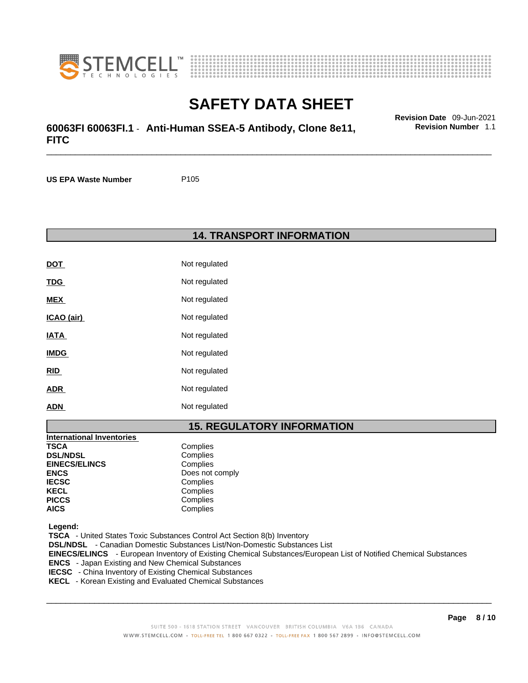



# \_\_\_\_\_\_\_\_\_\_\_\_\_\_\_\_\_\_\_\_\_\_\_\_\_\_\_\_\_\_\_\_\_\_\_\_\_\_\_\_\_\_\_\_\_\_\_\_\_\_\_\_\_\_\_\_\_\_\_\_\_\_\_\_\_\_\_\_\_\_\_\_\_\_\_\_\_\_\_\_\_\_\_\_\_\_\_\_\_\_\_\_\_ **Revision Date** 09-Jun-2021 **60063FI 60063FI.1** - **Anti-Human SSEA-5 Antibody, Clone 8e11, FITC**

**US EPA Waste Number** P105

### **14. TRANSPORT INFORMATION**

| <b>DOT</b>  | Not regulated |
|-------------|---------------|
| <b>TDG</b>  | Not regulated |
| MEX         | Not regulated |
| ICAO (air)  | Not regulated |
| <b>IATA</b> | Not regulated |
| <b>IMDG</b> | Not regulated |
| RID         | Not regulated |
| ADR         | Not regulated |
| ADN         | Not regulated |

# **15. REGULATORY INFORMATION**

| <b>International Inventories</b> |                 |
|----------------------------------|-----------------|
| <b>TSCA</b>                      | Complies        |
| <b>DSL/NDSL</b>                  | Complies        |
| <b>EINECS/ELINCS</b>             | Complies        |
| <b>ENCS</b>                      | Does not comply |
| <b>IECSC</b>                     | Complies        |
| <b>KECL</b>                      | Complies        |
| <b>PICCS</b>                     | Complies        |
| <b>AICS</b>                      | Complies        |

 **Legend:** 

 **TSCA** - United States Toxic Substances Control Act Section 8(b) Inventory  **DSL/NDSL** - Canadian Domestic Substances List/Non-Domestic Substances List  **EINECS/ELINCS** - European Inventory of Existing Chemical Substances/European List of Notified Chemical Substances  **ENCS** - Japan Existing and New Chemical Substances  **IECSC** - China Inventory of Existing Chemical Substances

 **KECL** - Korean Existing and Evaluated Chemical Substances

 $\_$  ,  $\_$  ,  $\_$  ,  $\_$  ,  $\_$  ,  $\_$  ,  $\_$  ,  $\_$  ,  $\_$  ,  $\_$  ,  $\_$  ,  $\_$  ,  $\_$  ,  $\_$  ,  $\_$  ,  $\_$  ,  $\_$  ,  $\_$  ,  $\_$  ,  $\_$  ,  $\_$  ,  $\_$  ,  $\_$  ,  $\_$  ,  $\_$  ,  $\_$  ,  $\_$  ,  $\_$  ,  $\_$  ,  $\_$  ,  $\_$  ,  $\_$  ,  $\_$  ,  $\_$  ,  $\_$  ,  $\_$  ,  $\_$  ,

**Page 8 / 10**

**Revision Number** 1.1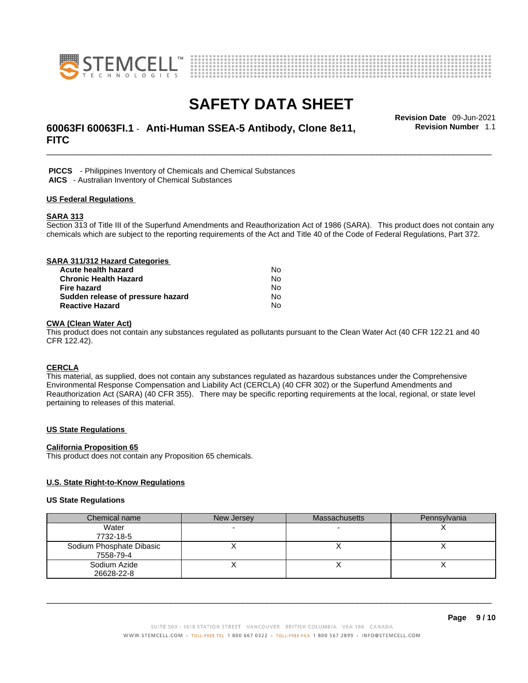



# \_\_\_\_\_\_\_\_\_\_\_\_\_\_\_\_\_\_\_\_\_\_\_\_\_\_\_\_\_\_\_\_\_\_\_\_\_\_\_\_\_\_\_\_\_\_\_\_\_\_\_\_\_\_\_\_\_\_\_\_\_\_\_\_\_\_\_\_\_\_\_\_\_\_\_\_\_\_\_\_\_\_\_\_\_\_\_\_\_\_\_\_\_ **Revision Date** 09-Jun-2021 **60063FI 60063FI.1** - **Anti-Human SSEA-5 Antibody, Clone 8e11, FITC**

**Revision Number** 1.1

 **PICCS** - Philippines Inventory of Chemicals and Chemical Substances  **AICS** - Australian Inventory of Chemical Substances

### **US Federal Regulations**

### **SARA 313**

Section 313 of Title III of the Superfund Amendments and Reauthorization Act of 1986 (SARA). This product does not contain any chemicals which are subject to the reporting requirements of the Act and Title 40 of the Code of Federal Regulations, Part 372.

| SARA 311/312 Hazard Categories    |    |  |
|-----------------------------------|----|--|
| Acute health hazard               | N٥ |  |
| <b>Chronic Health Hazard</b>      | No |  |
| <b>Fire hazard</b>                | No |  |
| Sudden release of pressure hazard | No |  |
| <b>Reactive Hazard</b>            | No |  |

### **CWA (Clean WaterAct)**

This product does not contain any substances regulated as pollutants pursuant to the Clean Water Act (40 CFR 122.21 and 40 CFR 122.42).

### **CERCLA**

This material, as supplied, does not contain any substances regulated as hazardous substances under the Comprehensive Environmental Response Compensation and Liability Act (CERCLA) (40 CFR 302) or the Superfund Amendments and Reauthorization Act (SARA) (40 CFR 355). There may be specific reporting requirements at the local, regional, or state level pertaining to releases of this material.

### **US State Regulations**

### **California Proposition 65**

This product does not contain any Proposition 65 chemicals.

### **U.S. State Right-to-Know Regulations**

### **US State Regulations**

| Chemical name            | New Jersey | <b>Massachusetts</b> | Pennsylvania |
|--------------------------|------------|----------------------|--------------|
| Water                    |            |                      |              |
| 7732-18-5                |            |                      |              |
| Sodium Phosphate Dibasic |            |                      |              |
| 7558-79-4                |            |                      |              |
| Sodium Azide             |            |                      |              |
| 26628-22-8               |            |                      |              |